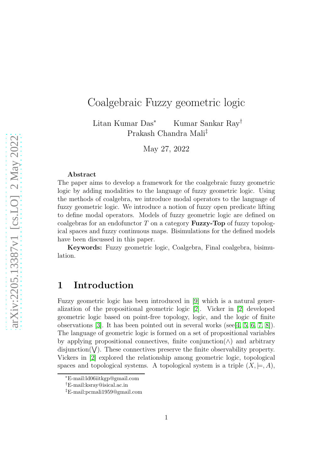# Coalgebraic Fuzzy geometric logic

Litan Kumar Das<sup>∗</sup> Kumar Sankar Ray† Prakash Chandra Mali‡

May 27, 2022

#### Abstract

The paper aims to develop a framework for the coalgebraic fuzzy geometric logic by adding modalities to the language of fuzzy geometric logic. Using the methods of coalgebra, we introduce modal operators to the language of fuzzy geometric logic. We introduce a notion of fuzzy open predicate lifting to define modal operators. Models of fuzzy geometric logic are defined on coalgebras for an endofunctor  $T$  on a category **Fuzzy-Top** of fuzzy topological spaces and fuzzy continuous maps. Bisimulations for the defined models have been discussed in this paper.

Keywords: Fuzzy geometric logic, Coalgebra, Final coalgebra, bisimulation.

## 1 Introduction

Fuzzy geometric logic has been introduced in [\[9\]](#page-14-0) which is a natural generalization of the propositional geometric logic [\[2\]](#page-14-1). Vicker in [\[2\]](#page-14-1) developed geometric logic based on point-free topology, logic, and the logic of finite observations  $[3]$ . It has been pointed out in several works (see [\[4,](#page-14-3) [5,](#page-14-4) [6,](#page-14-5) [7,](#page-14-6) [8\]](#page-14-7)). The language of geometric logic is formed on a set of propositional variables by applying propositional connectives, finite conjunction( $\wedge$ ) and arbitrary disjunction( $V$ ). These connectives preserve the finite observability property. Vickers in [\[2\]](#page-14-1) explored the relationship among geometric logic, topological spaces and topological systems. A topological system is a triple  $(X, \models, A)$ ,

<sup>∗</sup>E-mail:ld06iitkgp@gmail.com

<sup>†</sup>E-mail:ksray@isical.ac.in

<sup>‡</sup>E-mail:pcmali1959@gmail.com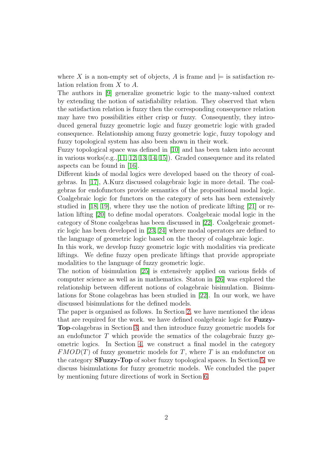where X is a non-empty set of objects, A is frame and  $\models$  is satisfaction relation relation from X to A.

The authors in [\[9\]](#page-14-0) generalize geometric logic to the many-valued context by extending the notion of satisfiability relation. They observed that when the satisfaction relation is fuzzy then the corresponding consequence relation may have two possibilities either crisp or fuzzy. Consequently, they introduced general fuzzy geometric logic and fuzzy geometric logic with graded consequence. Relationship among fuzzy geometric logic, fuzzy topology and fuzzy topological system has also been shown in their work.

Fuzzy topological space was defined in [\[10\]](#page-14-8) and has been taken into account in various works(e.g.,[\[11,](#page-14-9) [12,](#page-14-10) [13,](#page-14-11) [14,](#page-14-12) [15\]](#page-14-13)). Graded consequence and its related aspects can be found in [\[16\]](#page-15-0).

Different kinds of modal logics were developed based on the theory of coalgebras. In [\[17\]](#page-15-1), A.Kurz discussed colagebraic logic in more detail. The coalgebras for endofunctors provide semantics of the propositional modal logic. Coalgebraic logic for functors on the category of sets has been extensively studied in [\[18,](#page-15-2) [19\]](#page-15-3), where they use the notion of predicate lifting [\[21\]](#page-15-4) or relation lifting [\[20\]](#page-15-5) to define modal operators. Coalgebraic modal logic in the category of Stone coalgebras has been discussed in [\[22\]](#page-15-6). Coalgebraic geometric logic has been developed in [\[23,](#page-15-7) [24\]](#page-15-8) where modal operators are defined to the language of geometric logic based on the theory of colagebraic logic.

In this work, we develop fuzzy geometric logic with modalities via predicate liftings. We define fuzzy open predicate liftings that provide appropriate modalities to the language of fuzzy geometric logic.

The notion of bisimulation [\[25\]](#page-15-9) is extensively applied on various fields of computer science as well as in mathematics. Staton in [\[26\]](#page-15-10) was explored the relationship between different notions of colagebraic bisimulation. Bisimulations for Stone colagebras has been studied in [\[22\]](#page-15-6). In our work, we have discussed bisimulations for the defined models.

The paper is organised as follows. In Section [2,](#page-2-0) we have mentioned the ideas that are required for the work. we have defined coalgebraic logic for Fuzzy-Top-colagebras in Section [3,](#page-4-0) and then introduce fuzzy geometric models for an endofunctor  $T$  which provide the sematics of the colagebraic fuzzy geometric logics. In Section [4,](#page-7-0) we construct a final model in the category  $FMOD(T)$  of fuzzy geometric models for T, where T is an endofunctor on the category SFuzzy-Top of sober fuzzy topological spaces. In Section [5,](#page-10-0) we discuss bisimulations for fuzzy geometric models. We concluded the paper by mentioning future directions of work in Section [6.](#page-13-0)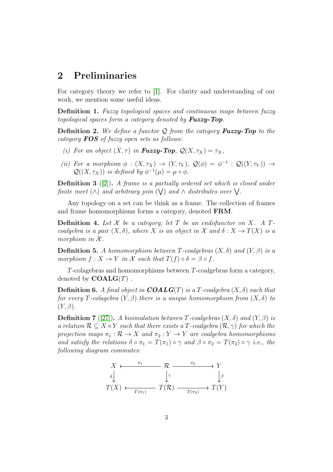## <span id="page-2-0"></span>2 Preliminaries

For category theory we refer to [\[1\]](#page-14-14). For clarity and understanding of our work, we mention some useful ideas.

Definition 1. *Fuzzy topological spaces and continuous maps between fuzzy topological spaces form a category denoted by* Fuzzy-Top*.*

Definition 2. *We define a functor* Q *from the category* Fuzzy-Top *to the category* FOS *of fuzzy open sets as follows:*

- *(i)* For an object  $(X, \tau)$  in **Fuzzy-Top**,  $Q(X, \tau_X) = \tau_X$ ,
- (*ii*) For a morphism  $\phi : (X, \tau_X) \to (Y, \tau_Y)$ ,  $\mathcal{Q}(\phi) = \phi^{-1} : \mathcal{Q}((Y, \tau_Y)) \to$  $\mathcal{Q}((X,\tau_X))$  *is defined by*  $\phi^{-1}(\mu) = \mu \circ \phi$ .

Definition 3 ([\[2\]](#page-14-1)). *A frame is a partially ordered set which is closed under finite meet*  $(\wedge)$  *and arbitrary join*  $(\vee)$  *and*  $\wedge$  *distributes over*  $\vee$ .

Any topology on a set can be think as a frame. The collection of frames and frame homomorphisms forms a category, denoted FRM.

**Definition 4.** Let X be a category; let T be an endofunctor on X. A T*coalgebra is a pair*  $(X, \delta)$ *, where* X *is an object in* X *and*  $\delta : X \to T(X)$  *is a morphism in*  $X$ *.* 

**Definition 5.** A homomorphism between T-coalgebras  $(X, \delta)$  and  $(Y, \beta)$  is a *morphism*  $f: X \to Y$  *in* X *such that*  $T(f) \circ \delta = \beta \circ f$ .

T-colagebras and homomorphisms between T-coalgebras form a category, denoted by  $\mathbf{COALG}(T)$ .

**Definition 6.** A final object in  $COALG(T)$  is a T-coalgebra  $(X, \delta)$  such that *for every* T-colagebra  $(Y, \beta)$  *there is a unique homomorphism from*  $(X, \delta)$  *to*  $(Y, \beta)$ .

**Definition 7** ([\[27\]](#page-15-11)). A bisimulation between T-coalgebras  $(X, \delta)$  and  $(Y, \beta)$  is *a relation*  $\mathcal{R} \subseteq X \times Y$  *such that there exists a T-coalgebra*  $(\mathcal{R}, \gamma)$  *for which the projection maps*  $\pi_1 : \mathcal{R} \to X$  *and*  $\pi_2 : Y \to Y$  *are coalgebra homomorphisms and satisfy the relations*  $\delta \circ \pi_1 = T(\pi_1) \circ \gamma$  *and*  $\beta \circ \pi_2 = T(\pi_2) \circ \gamma$  *i.e., the following diagram commutes:*

$$
X \xleftarrow{\pi_1} \mathcal{R} \xrightarrow{\pi_2} Y
$$
  
\n
$$
\delta \downarrow \qquad \qquad \downarrow \gamma \qquad \qquad \downarrow \beta
$$
  
\n
$$
T(X) \xleftarrow{T(\pi_1)} T(\mathcal{R}) \xrightarrow{T(\pi_2)} T(Y)
$$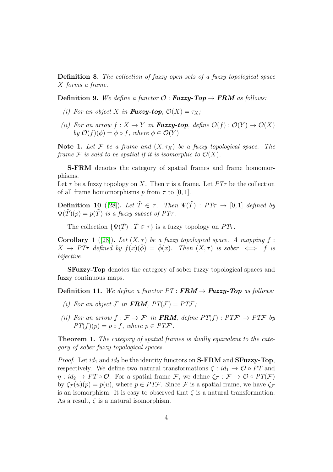Definition 8. *The collection of fuzzy open sets of a fuzzy topological space* X *forms a frame.*

**Definition 9.** We define a functor  $\mathcal{O}: \mathbf{Fuzzy}\text{-}\mathbf{Top} \rightarrow \mathbf{FRM}$  as follows:

- *(i)* For an object X in **Fuzzy-top**,  $\mathcal{O}(X) = \tau_X$ ;
- *(ii)* For an arrow  $f: X \to Y$  in **Fuzzy-top**, define  $\mathcal{O}(f): \mathcal{O}(Y) \to \mathcal{O}(X)$ *by*  $\mathcal{O}(f)(\phi) = \phi \circ f$ *, where*  $\phi \in \mathcal{O}(Y)$ *.*

Note 1. Let F be a frame and  $(X, \tau_X)$  be a fuzzy topological space. The *frame*  $\mathcal F$  *is said to be spatial if it is isomorphic to*  $\mathcal O(X)$ *.* 

S-FRM denotes the category of spatial frames and frame homomorphisms.

Let  $\tau$  be a fuzzy topology on X. Then  $\tau$  is a frame. Let  $PT\tau$  be the collection of all frame homomorphisms p from  $\tau$  to [0, 1].

**Definition 10** ([\[28\]](#page-15-12)). Let  $\tilde{T} \in \tau$ . Then  $\Psi(\tilde{T})$  :  $PT\tau \to [0, 1]$  defined by  $\Psi(\tilde{T})(p) = p(\tilde{T})$  *is a fuzzy subset of PT* $\tau$ *.* 

The collection  $\{\Psi(\tilde{T}) : \tilde{T} \in \tau\}$  is a fuzzy topology on  $PT\tau$ .

**Corollary 1** ([\[28\]](#page-15-12)). Let  $(X, \tau)$  be a fuzzy topological space. A mapping f:  $X \to PT\tau$  *defined by*  $f(x)(\tilde{\phi}) = \tilde{\phi}(x)$ *. Then*  $(X, \tau)$  *is sober*  $\iff$  f *is bijective.*

SFuzzy-Top denotes the category of sober fuzzy topological spaces and fuzzy continuous maps.

**Definition 11.** We define a functor  $PT : \mathbf{FRM} \rightarrow \mathbf{Fuzzy}\text{-}\mathbf{Top}$  as follows:

- *(i)* For an object  $\mathcal{F}$  in **FRM**,  $PT(\mathcal{F}) = PT\mathcal{F}$ ;
- *(ii)* For an arrow  $f : \mathcal{F} \to \mathcal{F}'$  in **FRM**, define  $PT(f) : PTF' \to PTF$  by  $PT(f)(p) = p \circ f$ , where  $p \in PT\mathcal{F}'$ .

Theorem 1. *The category of spatial frames is dually equivalent to the category of sober fuzzy topological spaces.*

*Proof.* Let  $id_1$  and  $id_2$  be the identity functors on  $S\text{-}\text{FRM}$  and  $S\text{Fuzzy-Top}$ , respectively. We define two natural transformations  $\zeta : id_1 \to \mathcal{O} \circ PT$  and  $\eta : id_2 \to PT \circ \mathcal{O}$ . For a spatial frame F, we define  $\zeta_{\mathcal{F}} : \mathcal{F} \to \mathcal{O} \circ PT(\mathcal{F})$ by  $\zeta_{\mathcal{F}}(u)(p) = p(u)$ , where  $p \in PT\mathcal{F}$ . Since  $\mathcal F$  is a spatial frame, we have  $\zeta_{\mathcal{F}}$ is an isomorphism. It is easy to observed that  $\zeta$  is a natural transformation. As a result,  $\zeta$  is a natural isomorphism.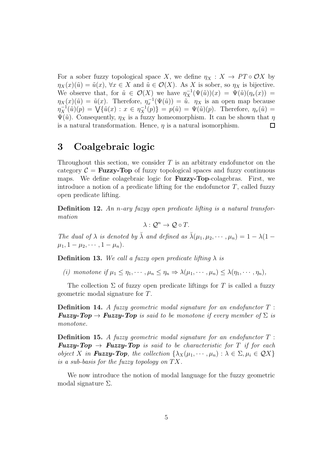For a sober fuzzy topological space X, we define  $\eta_X : X \to PT \circ OX$  by  $\eta_X(x)(\tilde{u}) = \tilde{u}(x), \forall x \in X$  and  $\tilde{u} \in \mathcal{O}(X)$ . As X is sober, so  $\eta_X$  is bijective. We observe that, for  $\tilde{u} \in \mathcal{O}(X)$  we have  $\eta_X^{-1}(\Psi(\tilde{u}))(x) = \Psi(\tilde{u})(\eta_x(x)) =$  $\eta_X(x)(\tilde{u}) = \tilde{u}(x)$ . Therefore,  $\eta_x^{-1}(\Psi(\tilde{u})) = \tilde{u}$ .  $\eta_X$  is an open map because  $\eta_X^{-1}(\tilde{u})(p) = \bigvee \{ \tilde{u}(x) : x \in \eta_X^{-1}(p) \} = p(\tilde{u}) = \Psi(\tilde{u})(p)$ . Therefore,  $\eta_x(\tilde{u}) =$  $\Psi(\tilde{u})$ . Consequently,  $\eta_X$  is a fuzzy homeomorphism. It can be shown that  $\eta$ is a natural transformation. Hence,  $\eta$  is a natural isomorphism.  $\Box$ 

# <span id="page-4-0"></span>3 Coalgebraic logic

Throughout this section, we consider  $T$  is an arbitrary endofunctor on the category  $C = \text{Fuzzy-Top}$  of fuzzy topological spaces and fuzzy continuous maps. We define colagebraic logic for Fuzzy-Top-colagebras. First, we introduce a notion of a predicate lifting for the endofunctor  $T$ , called fuzzy open predicate lifting.

Definition 12. *An* n*-ary fuzyy open predicate lifting is a natural transformation*

 $\lambda: \mathcal{Q}^n \to \mathcal{Q} \circ T$ .

*The dual of*  $\lambda$  *is denoted by*  $\bar{\lambda}$  *and defined as*  $\bar{\lambda}(\mu_1, \mu_2, \cdots, \mu_n) = 1 - \lambda(1 \mu_1, 1 - \mu_2, \cdots, 1 - \mu_n$ ).

**Definition 13.** We call a fuzzy open predicate lifting  $\lambda$  is

*(i) monotone if*  $\mu_1 \leq \eta_1, \dots, \mu_n \leq \eta_n \Rightarrow \lambda(\mu_1, \dots, \mu_n) \leq \lambda(\eta_1, \dots, \eta_n)$ ,

The collection  $\Sigma$  of fuzzy open predicate liftings for T is called a fuzzy geometric modal signature for T.

Definition 14. *A fuzzy geometric modal signature for an endofunctor* T : **Fuzzy-Top**  $\rightarrow$  **Fuzzy-Top** is said to be monotone if every member of  $\Sigma$  is *monotone.*

Definition 15. *A fuzzy geometric modal signature for an endofunctor* T : **Fuzzy-Top**  $\rightarrow$  **Fuzzy-Top** is said to be characteristic for T if for each *object* X in **Fuzzy-Top**, the collection  $\{\lambda_X(\mu_1, \dots, \mu_n) : \lambda \in \Sigma, \mu_i \in \mathcal{Q}X\}$ *is a sub-basis for the fuzzy topology on*  $TX$ .

We now introduce the notion of modal language for the fuzzy geometric modal signature  $\Sigma$ .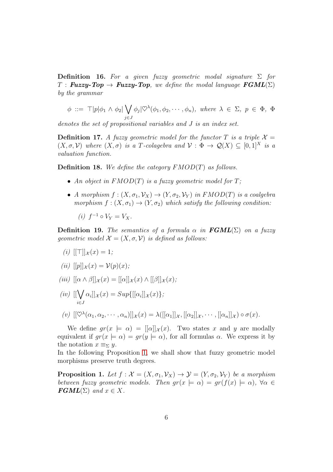Definition 16. *For a given fuzzy geometric modal signature* Σ *for*  $T$ : **Fuzzy-Top**  $\rightarrow$  **Fuzzy-Top**, we define the modal language  $\textbf{FGML}(\Sigma)$ *by the grammar*

$$
\phi ::= \top |p|\phi_1 \wedge \phi_2| \bigvee_{j \in J} \phi_j | \heartsuit^{\lambda}(\phi_1, \phi_2, \cdots, \phi_n), \text{ where } \lambda \in \Sigma, p \in \Phi, \Phi
$$

*denotes the set of propositional variables and* J *is an index set.*

**Definition 17.** A fuzzy geometric model for the functor T is a triple  $X =$  $(X, \sigma, \mathcal{V})$  where  $(X, \sigma)$  *is a T-colagebra and*  $\mathcal{V}: \Phi \to \mathcal{Q}(X) \subset [0, 1]^X$  *is a valuation function.*

Definition 18. *We define the category* FMOD(T) *as follows.*

- *An object in* FMOD(T) *is a fuzzy geometric model for* T*;*
- *A morphism*  $f : (X, \sigma_1, \mathcal{V}_X) \to (Y, \sigma_2, \mathcal{V}_Y)$  *in FMOD(T) is a coalgebra morphism*  $f : (X, \sigma_1) \to (Y, \sigma_2)$  *which satisfy the following condition:*

$$
(i) f^{-1} \circ V_Y = V_X.
$$

**Definition 19.** *The semantics of a formula*  $\alpha$  *in*  $\textbf{FGML}(\Sigma)$  *on a fuzzy geometric model*  $\mathcal{X} = (X, \sigma, \mathcal{V})$  *is defined as follows:* 

 $(i)$  [ $\vert \top \vert \vert_{\mathcal{X}}(x) = 1;$ 

$$
(ii) [[p]]_{\mathcal{X}}(x) = \mathcal{V}(p)(x);
$$

- *(iii)*  $[(\alpha \wedge \beta)]_{\mathcal{X}}(x) = [[\alpha]]_{\mathcal{X}}(x) \wedge [[\beta]]_{\mathcal{X}}(x)$ ;
- $(iv)$  [[ $\bigvee$ i∈J  $\alpha_i$ ]] $_{\mathcal{X}}(x) = Sup\{([\alpha_i]]_{\mathcal{X}}(x)\};$
- $(v)$   $[[\heartsuit^\lambda(\alpha_1, \alpha_2, \cdots, \alpha_n)]]_{\mathcal{X}}(x) = \lambda([[ \alpha_1 ]]_{\mathcal{X}}, [[\alpha_2]]_{\mathcal{X}}, \cdots, [[\alpha_n]]_{\mathcal{X}}) \circ \sigma(x).$

We define  $gr(x \models \alpha) = [[\alpha]]_x(x)$ . Two states x and y are modally equivalent if  $gr(x \models \alpha) = gr(y \models \alpha)$ , for all formulas  $\alpha$ . We express it by the notation  $x \equiv_{\Sigma} y$ .

In the following Proposition [1,](#page-5-0) we shall show that fuzzy geometric model morphisms preserve truth degrees.

<span id="page-5-0"></span>**Proposition 1.** Let  $f : \mathcal{X} = (X, \sigma_1, \mathcal{V}_X) \to \mathcal{Y} = (Y, \sigma_2, \mathcal{V}_Y)$  be a morphism *between fuzzy geometric models. Then*  $gr(x \models \alpha) = gr(f(x) \models \alpha)$ ,  $\forall \alpha \in$  $\textbf{FGML}(\Sigma)$  and  $x \in X$ .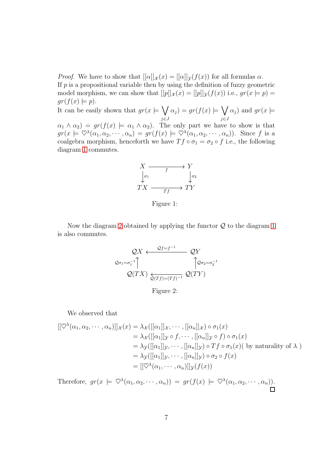*Proof.* We have to show that  $[α]]_{\mathcal{X}}(x) = [[α]]_{\mathcal{Y}}(f(x))$  for all formulas  $\alpha$ . If  $p$  is a propositional variable then by using the definition of fuzzy geometric model morphism, we can show that  $[[p]]_{\mathcal{X}}(x) = [[p]]_{\mathcal{Y}}(f(x))$  i.e.,  $gr(x \models p) =$  $gr(f(x) \models p).$ 

It can be easily shown that  $gr(x \models \bigvee$ j∈J  $\alpha_j$ ) = gr(f(x)  $\models \bigvee$ j∈J  $\alpha_j$ ) and  $gr(x \models$  $\alpha_1 \wedge \alpha_2$  =  $gr(f(x)) = \alpha_1 \wedge \alpha_2$ . The only part we have to show is that  $gr(x \models \heartsuit^\lambda(\alpha_1, \alpha_2, \cdots, \alpha_n) = gr(f(x) \models \heartsuit^\lambda(\alpha_1, \alpha_2, \cdots, \alpha_n)).$  Since f is a coalgebra morphism, henceforth we have  $T f \circ \sigma_1 = \sigma_2 \circ f$  i.e., the following diagram [1](#page-6-0) commutes.



<span id="page-6-0"></span>Figure 1:

Now the diagram [2](#page-6-1) obtained by applying the functor  $Q$  to the diagram [1](#page-6-0) is also commutes.

$$
\mathcal{Q}X \xleftarrow{\mathcal{Q}f=f^{-1}} \mathcal{Q}Y
$$
  

$$
\mathcal{Q}\sigma_1 = \sigma_1^{-1} \uparrow \qquad \qquad \uparrow \mathcal{Q}\sigma_2 = \sigma_2^{-1}
$$
  

$$
\mathcal{Q}(TX) \xleftarrow{\mathcal{Q}(Tf)=(Tf)^{-1}} \mathcal{Q}(TY)
$$

<span id="page-6-1"></span>Figure 2:

We observed that

$$
[[\heartsuit^{\lambda}(\alpha_1, \alpha_2, \cdots, \alpha_n)]]_{\mathcal{X}}(x) = \lambda_{\mathcal{X}}([[ \alpha_1]]_{\mathcal{X}}, \cdots, [[\alpha_n]]_{\mathcal{X}}) \circ \sigma_1(x)
$$
  
\n
$$
= \lambda_{\mathcal{X}}([[ \alpha_1]]_{\mathcal{Y}} \circ f, \cdots, [[\alpha_n]]_{\mathcal{Y}} \circ f) \circ \sigma_1(x)
$$
  
\n
$$
= \lambda_{\mathcal{Y}}([[ \alpha_1]]_{\mathcal{Y}}, \cdots, [[\alpha_n]]_{\mathcal{Y}}) \circ Tf \circ \sigma_1(x) \text{ (by naturality of } \lambda )
$$
  
\n
$$
= \lambda_{\mathcal{Y}}([[ \alpha_1]]_{\mathcal{Y}}, \cdots, [[\alpha_n]]_{\mathcal{Y}}) \circ \sigma_2 \circ f(x)
$$
  
\n
$$
= [[\heartsuit^{\lambda}(\alpha_1, \cdots, \alpha_n)]]_{\mathcal{Y}}(f(x))
$$

Therefore,  $gr(x \models \nabla^{\lambda}(\alpha_1, \alpha_2, \cdots, \alpha_n)) = gr(f(x) \models \nabla^{\lambda}(\alpha_1, \alpha_2, \cdots, \alpha_n)).$  $\Box$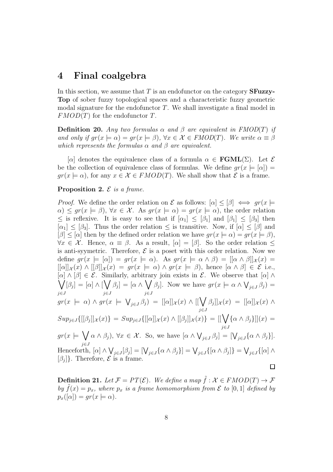### <span id="page-7-0"></span>4 Final coalgebra

In this section, we assume that  $T$  is an endofunctor on the category **SFuzzy**-Top of sober fuzzy topological spaces and a characteristic fuzzy geometric modal signature for the endofunctor  $T$ . We shall investigate a final model in  $FMOD(T)$  for the endofunctor T.

**Definition 20.** Any two formulas  $\alpha$  and  $\beta$  are equivalent in FMOD(T) if *and only if*  $gr(x \models \alpha) = gr(x \models \beta)$ ,  $\forall x \in \mathcal{X} \in FMOD(T)$ *. We write*  $\alpha \equiv \beta$ *which represents the formulas*  $\alpha$  *and*  $\beta$  *are equivalent.* 

[α] denotes the equivalence class of a formula  $\alpha \in \text{FGML}(\Sigma)$ . Let  $\mathcal E$ be the collection of equivalence class of formulas. We define  $gr(x \models |\alpha|) =$  $gr(x \models \alpha)$ , for any  $x \in \mathcal{X} \in FMOD(T)$ . We shall show that  $\mathcal{E}$  is a frame.

#### Proposition 2. E *is a frame.*

*Proof.* We define the order relation on  $\mathcal E$  as follows:  $[\alpha] \leq [\beta] \iff gr(x)$  $\alpha$ )  $\leq$  gr( $x \in \beta$ ),  $\forall x \in \mathcal{X}$ . As gr( $x \models \alpha$ ) = gr( $x \models \alpha$ ), the order relation  $\leq$  is reflexive. It is easy to see that if  $\lbrack \alpha_1 \rbrack \leq \lbrack \beta_1 \rbrack$  and  $\lbrack \beta_1 \rbrack \leq \lbrack \beta_3 \rbrack$  then  $[\alpha_1] \leq [\beta_3]$ . Thus the order relation  $\leq$  is transitive. Now, if  $[\alpha] \leq [\beta]$  and  $[\beta] \leq [\alpha]$  then by the defined order relation we have  $gr(x \models \alpha) = gr(x \models \beta)$ ,  $\forall x \in \mathcal{X}$ . Hence,  $\alpha \equiv \beta$ . As a result,  $[\alpha] = [\beta]$ . So the order relation  $\leq$ is anti-syymetric. Therefore,  $\mathcal E$  is a poset with this order relation. Now we define  $gr(x \models [\alpha]) = gr(x \models \alpha)$ . As  $gr(x \models \alpha \wedge \beta) = [[\alpha \wedge \beta]]_{\mathcal{X}}(x) =$  $[[\alpha]]_{\mathcal{X}}(x) \wedge [[\beta]]_{\mathcal{X}}(x) = gr(x \models \alpha) \wedge gr(x \models \beta)$ , hence  $[\alpha \wedge \beta] \in \mathcal{E}$  i.e.,  $[\alpha] \wedge [\beta] \in \mathcal{E}$ . Similarly, arbitrary join exists in  $\mathcal{E}$ . We observe that  $[\alpha] \wedge [\beta]$  $\setminus$  $[\beta_j] = [\alpha] \wedge [\bigvee$  $\beta_j] = [\alpha \wedge \bigvee$  $\beta_j$ . Now we have  $gr(x \models \alpha \wedge \bigvee_{j \in J} \beta_j) =$ j∈J j∈J j∈J  $gr(x \models \alpha) \land gr(x \models \bigvee_{j \in J} \beta_j) = [[\alpha]]_{\mathcal{X}}(x) \land [[\bigvee$  $\beta_j] \big]_{\mathcal{X}}(x) = [[\alpha]]_{\mathcal{X}}(x) \wedge$ j∈J  $Sup_{j\in J}\{([\beta_j]]_{\mathcal{X}}(x)\} = Sup_{j\in J}\{([\alpha]]_{\mathcal{X}}(x)\wedge [[\beta_j]]_{\mathcal{X}}(x)\} = [[\bigvee$  $\{\alpha \wedge \beta_j\}](x) =$ j∈J  $gr(x) \models \bigvee$  $\alpha \wedge \beta_j$ ,  $\forall x \in \mathcal{X}$ . So, we have  $[\alpha \wedge \bigvee_{j \in J} \beta_j] = [\bigvee_{j \in J} {\alpha \wedge \beta_j}]$ . j∈J Henceforth,  $[\alpha] \wedge \bigvee_{j \in J} [\beta_j] = [\bigvee_{j \in J} {\alpha \wedge \beta_j}] = \bigvee_{j \in J} [{\alpha \wedge \beta_j}] = \bigvee_{j \in J} [{\alpha] \wedge$  $[\beta_j]$ . Therefore,  $\mathcal E$  is a frame.  $\Box$ 

<span id="page-7-1"></span>**Definition 21.** Let  $\mathcal{F} = PT(\mathcal{E})$ . We define a map  $\tilde{f}: \mathcal{X} \in FMOD(T) \to \mathcal{F}$ *by*  $\tilde{f}(x) = p_x$ , where  $p_x$  *is a frame homomorphism from*  $\mathcal E$  *to* [0, 1] *defined by*  $p_x([\alpha]) = qr(x \models \alpha).$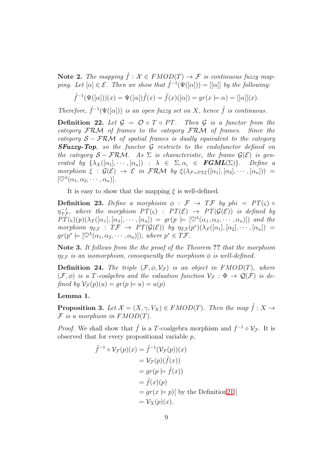Note 2. The mapping  $\tilde{f}: \mathcal{X} \in FMOD(T) \rightarrow \mathcal{F}$  is continuous fuzzy map*ping. Let*  $[\alpha] \in \mathcal{E}$ . Then we show that  $\tilde{f}^{-1}(\Psi([\alpha])) = [[\alpha]]$  by the following:

$$
\tilde{f}^{-1}(\Psi([\alpha])(x) = \Psi([\alpha])\tilde{f}(x) = \tilde{f}(x)([\alpha]) = gr(x \models \alpha) = [[\alpha]](x).
$$

*Therefore,*  $\tilde{f}^{-1}(\Psi([\alpha]))$  *is an open fuzzy set on* X*, hence*  $\tilde{f}$  *is continuous.* 

**Definition 22.** Let  $\mathcal{G} = \mathcal{O} \circ T \circ PT$ . Then  $\mathcal{G}$  is a functor from the *category* FRM *of frames to the category* FRM *of frames. Since the category* S − FRM *of spatial frames is dually equivalent to the category* SFuzzy-Top*, so the functor* G *restricts to the endofunctor defined on the category*  $S - \mathcal{FRM}$ . As  $\Sigma$  *is characteristic, the frame*  $\mathcal{G}(\mathcal{E})$  *is generated by*  $\{\lambda_X([\alpha_1], \cdots, [\alpha_n]) : \lambda \in \Sigma, \alpha_i \in \textbf{FGML}(\Sigma)\}\$ . Define a *morphism*  $\xi : \mathcal{G}(\mathcal{E}) \to \mathcal{E}$  *in* FRM *by*  $\xi(\lambda_{\mathcal{F}=PT\mathcal{E}}([a_1], [a_2], \cdots, [a_n]))$  =  $[\heartsuit^\lambda(\alpha_1, \alpha_2, \cdots, \alpha_n)].$ 

It is easy to show that the mapping  $\xi$  is well-defined.

**Definition 23.** Define a morphisim  $\phi : \mathcal{F} \to T\mathcal{F}$  by phi =  $PT(\varsigma) \circ$  $\eta_{T}^{-1}$  $T_{T\mathcal{F}}^{-1}$ , where the morphism  $PT(\varsigma)$  :  $PT(\mathcal{E}) \rightarrow PT(\mathcal{G}(\mathcal{E}))$  is defined by  $PT(\varsigma)(p)(\lambda_{\mathcal{F}}([\alpha_1], [\alpha_2], \cdots, [\alpha_n]) = gr(p \models [\heartsuit^{\lambda}(\alpha_1, \alpha_2, \cdots, \alpha_n)])$  and the *morphism*  $\eta_{T\mathcal{F}}$  :  $T\mathcal{F} \to PT(\mathcal{G}(\mathcal{E}))$  *by*  $\eta_{T\mathcal{F}}(p^*)(\lambda_{\mathcal{F}}([\alpha_1], [\alpha_2], \cdots, [\alpha_n])$  =  $gr(p^* \models [\heartsuit^\lambda(\alpha_1, \alpha_2, \cdots, \alpha_n)]),$  where  $p^* \in T\mathcal{F}.$ 

Note 3. *It follows from the the proof of the Theorem* ?? *that the morphism*  $\eta_{T\mathcal{F}}$  *is an isomorphism, consequently the morphism*  $\phi$  *is well-defined.* 

**Definition 24.** The triple  $(\mathcal{F}, \phi, \mathcal{V}_{\mathcal{F}})$  is an object in  $FMOD(T)$ , where  $(\mathcal{F}, \phi)$  *is a T-coalgebra and the valuation function*  $\mathcal{V}_{\mathcal{F}} : \Phi \to \mathcal{Q}(\mathcal{F})$  *is defined by*  $\mathcal{V}_\mathcal{F}(p)(u) = qr(p \models u) = u(p)$ 

#### Lemma 1.

<span id="page-8-0"></span>**Proposition 3.** Let  $\mathcal{X} = (X, \gamma, V_X) \in FMOD(T)$ *. Then the map*  $\tilde{f}: X \to Y$  $F$  *is a morphism in FMOD(T).* 

*Proof.* We shall show that  $\tilde{f}$  is a T-coalgebra morphism and  $f^{-1} \circ \mathcal{V}_{\mathcal{F}}$ . It is observed that for every propositional variable  $p$ ,

$$
\tilde{f}^{-1} \circ \mathcal{V}_{\mathcal{F}}(p)(x) = \tilde{f}^{-1}(\mathcal{V}_{\mathcal{F}}(p))(x)
$$
  
\n
$$
= \mathcal{V}_{\mathcal{F}}(p)(\tilde{f}(x))
$$
  
\n
$$
= gr(p \models \tilde{f}(x))
$$
  
\n
$$
= \tilde{f}(x)(p)
$$
  
\n
$$
= gr(x \models p)[ \text{ by the Definition21 } ]
$$
  
\n
$$
= \mathcal{V}_{X}(p)(x).
$$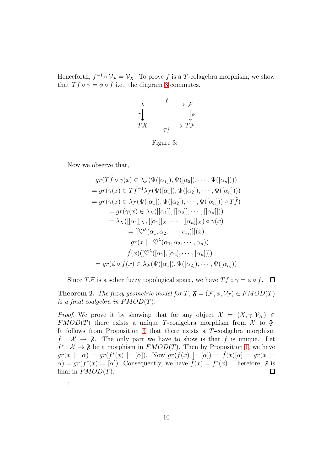Henceforth,  $\tilde{f}^{-1} \circ \mathcal{V}_{\mathcal{F}} = \mathcal{V}_X$ . To prove  $\tilde{f}$  is a T-colagebra morphism, we show that  $T\tilde{f} \circ \gamma = \phi \circ \tilde{f}$  i.e., the diagram [3](#page-9-0) commutes.



<span id="page-9-0"></span>Figure 3:

Now we observe that,

 $\ddot{\phantom{a}}$ 

$$
gr(T\tilde{f} \circ \gamma(x) \in \lambda_{\mathcal{F}}(\Psi([\alpha_1]), \Psi([\alpha_2]), \cdots, \Psi([\alpha_n])))
$$
  
\n
$$
= gr(\gamma(x) \in T\tilde{f}^{-1}\lambda_{\mathcal{F}}(\Psi([\alpha_1]), \Psi([\alpha_2]), \cdots, \Psi([\alpha_n])))
$$
  
\n
$$
= gr(\gamma(x) \in \lambda_{\mathcal{F}}(\Psi([\alpha_1]), \Psi([\alpha_2]), \cdots, \Psi([\alpha_n])) \circ T\tilde{f})
$$
  
\n
$$
= gr(\gamma(x) \in \lambda_{X}([\alpha_1]), [\alpha_2]), \cdots, [\alpha_n]])
$$
  
\n
$$
= \lambda_{X}([\alpha_1]]_X, [[\alpha_2]]_X, \cdots, [[\alpha_n]]_X) \circ \gamma(x)
$$
  
\n
$$
= [[\heartsuit^{\lambda}(\alpha_1, \alpha_2, \cdots, \alpha_n)]](x)
$$
  
\n
$$
= gr(x \models \heartsuit^{\lambda}(\alpha_1, \alpha_2, \cdots, \alpha_n))
$$
  
\n
$$
= \tilde{f}(x)([\heartsuit^{\lambda}([\alpha_1], [\alpha_2], \cdots, [\alpha_n])])
$$
  
\n
$$
= gr(\phi \circ \tilde{f}(x) \in \lambda_{\mathcal{F}}(\Psi([\alpha_1]), \Psi([\alpha_2]), \cdots, \Psi([\alpha_n]))
$$

Since  $T\mathcal{F}$  is a sober fuzzy topological space, we have  $T\tilde{f} \circ \gamma = \phi \circ \tilde{f}$ .

**Theorem 2.** *The fuzzy geometric model for*  $T$ ,  $\mathfrak{F} = (\mathcal{F}, \phi, \mathcal{V}_{\mathcal{F}}) \in FMOD(T)$ *is a final coalgebra in* FMOD(T)*.*

*Proof.* We prove it by showing that for any object  $\mathcal{X} = (X, \gamma, \mathcal{V}_X) \in$  $FMOD(T)$  there exists a unique T-coalgebra morphism from X to  $\mathfrak{F}$ . It follows from Proposition [3](#page-8-0) that there exists a T-coalgebra morphism  $f : \mathcal{X} \to \mathfrak{F}$ . The only part we have to show is that f is unique. Let  $f^*: \mathcal{X} \to \mathfrak{F}$  be a morphism in  $FMOD(T)$ . Then by Proposition [1,](#page-5-0) we have  $gr(x \models \alpha) = gr(f^*(x) \models [\alpha])$ . Now  $gr(\tilde{f}(x) \models [\alpha]) = \tilde{f}(x)[\alpha] = gr(x \models \alpha)$  $\alpha$ ) =  $gr(f^*(x) \models [\alpha])$ . Consequently, we have  $\tilde{f}(x) = f^*(x)$ . Therefore,  $\mathfrak{F}$  is final in  $FMOD(T)$ .  $\Box$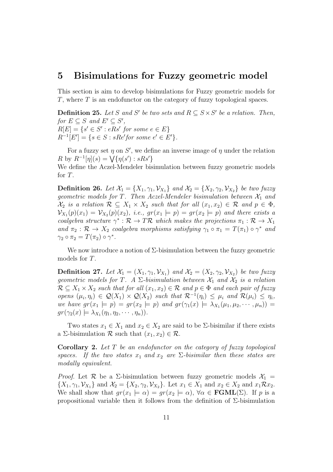### <span id="page-10-0"></span>5 Bisimulations for Fuzzy geometric model

This section is aim to develop bisimulations for Fuzzy geometric models for T, where T is an endofunctor on the category of fuzzy topological spaces.

**Definition 25.** Let S and S' be two sets and  $R \subseteq S \times S'$  be a relation. Then,  $for E \subseteq S$  and  $E' \subseteq S'$ ,  $R[E] = \{s' \in S' : eRs' \text{ for some } e \in E\}$  $R^{-1}[E'] = \{ s \in S : sRe' \text{ for some } e' \in E' \}.$ 

For a fuzzy set  $\eta$  on S', we define an inverse image of  $\eta$  under the relation R by  $R^{-1}[\eta](s) = \sqrt{\{\eta(s') : sRs'\}}$ 

We define the Aczel-Mendeler bisimulation between fuzzy geometric models for T.

**Definition 26.** Let  $\mathcal{X}_1 = \{X_1, \gamma_1, \mathcal{V}_{X_1}\}\$  and  $\mathcal{X}_2 = \{X_2, \gamma_2, \mathcal{V}_{X_2}\}\$ be two fuzzy *geometric models for*  $T$ *. Then Aczel-Mendeler bisimulation between*  $\mathcal{X}_1$  *and*  $\mathcal{X}_2$  *is a relation*  $\mathcal{R} \subseteq X_1 \times X_2$  *such that for all*  $(x_1, x_2) \in \mathcal{R}$  *and*  $p \in \Phi$ *,*  $\mathcal{V}_{X_1}(p)(x_1) = \mathcal{V}_{X_2}(p)(x_2),$  *i.e.*,  $gr(x_1 \models p) = gr(x_2 \models p)$  and there exists a *coalgebra structure*  $\gamma^*: \mathcal{R} \to T\mathcal{R}$  *which makes the projections*  $\pi_1: \mathcal{R} \to X_1$ and  $\pi_2 : \mathcal{R} \to X_2$  *coalgebra morphisms satisfying*  $\gamma_1 \circ \pi_1 = T(\pi_1) \circ \gamma^*$  *and*  $\gamma_2 \circ \pi_2 = T(\pi_2) \circ \gamma^*.$ 

We now introduce a notion of  $\Sigma$ -bisimulation between the fuzzy geometric models for T.

**Definition 27.** Let  $\mathcal{X}_1 = (X_1, \gamma_1, \mathcal{V}_{X_1})$  and  $\mathcal{X}_2 = (X_2, \gamma_2, \mathcal{V}_{X_2})$  be two fuzzy *geometric models for* T. A  $\Sigma$ -bisimulation between  $\mathcal{X}_1$  and  $\mathcal{X}_2$  is a relation  $\mathcal{R} \subseteq X_1 \times X_2$  *such that for all*  $(x_1, x_2) \in \mathcal{R}$  *and*  $p \in \Phi$  *and each pair of fuzzy opens*  $(\mu_i, \eta_i) \in \mathcal{Q}(X_1) \times \mathcal{Q}(X_2)$  *such that*  $\mathcal{R}^{-1}(\eta_i) \leq \mu_i$  *and*  $\mathcal{R}(\mu_i) \leq \eta_i$ *, we have*  $gr(x_1 \models p) = gr(x_2 \models p)$  *and*  $gr(\gamma_1(x) \models \lambda_{X_1}(\mu_1, \mu_2, \cdots, \mu_n))$  =  $gr(\gamma_2(x) \models \lambda_{X_1}(\eta_1, \eta_2, \cdots, \eta_n)).$ 

Two states  $x_1 \in X_1$  and  $x_2 \in X_2$  are said to be  $\Sigma$ -bisimilar if there exists a Σ-bisimulation  $\mathcal R$  such that  $(x_1, x_2) \in \mathcal R$ .

Corollary 2. *Let* T *be an endofunctor on the category of fuzzy topological spaces.* If the two states  $x_1$  and  $x_2$  are  $\Sigma$ -bisimilar then these states are *modally equivalent.*

*Proof.* Let  $\mathcal{R}$  be a  $\Sigma$ -bisimulation between fuzzy geometric models  $\mathcal{X}_1$  =  $\{X_1, \gamma_1, \mathcal{V}_{X_1}\}\$ and  $\mathcal{X}_2 = \{X_2, \gamma_2, \mathcal{V}_{X_2}\}\$ . Let  $x_1 \in X_1$  and  $x_2 \in X_2$  and  $x_1 \mathcal{R} x_2$ . We shall show that  $gr(x_1 \models \alpha) = gr(x_2 \models \alpha)$ ,  $\forall \alpha \in \textbf{FGML}(\Sigma)$ . If p is a propositional variable then it follows from the definition of Σ-bisimulation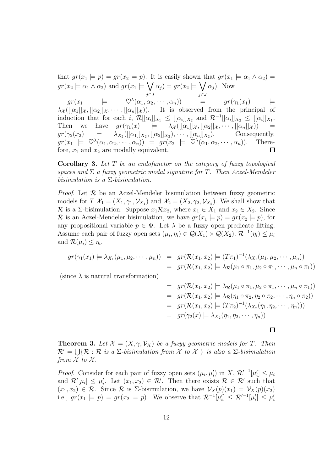that  $gr(x_1 \models p) = gr(x_2 \models p)$ . It is easily shown that  $gr(x_1 \models \alpha_1 \land \alpha_2) =$  $gr(x_2 \models \alpha_1 \land \alpha_2)$  and  $gr(x_1 \models \bigvee$  $\alpha_j$ ) = gr( $x_2 \models \bigvee$  $\alpha_j$ ). Now j∈J j∈J  $gr(x_1 \qquad \models \qquad \heartsuit^\lambda(\alpha_1, \alpha_2, \cdots, \alpha_n)) \qquad = \qquad gr(\gamma_1(x_1) \qquad \models$  $\lambda_{\mathcal{X}}([[\alpha_1]]_{\mathcal{X}}, [[\alpha_2]]_{\mathcal{X}}, \cdots, [[\alpha_n]]_{\mathcal{X}}).$  It is observed from the principal of induction that for each i,  $\mathcal{R}[[\alpha_i]]_{X_1} \leq [[\alpha_i]]_{X_2}$  and  $\mathcal{R}^{-1}[[\alpha_i]]_{X_2} \leq [[\alpha_i]]_{X_1}$ . Then we have  $gr(\gamma_1(x) \models \lambda_{\mathcal{X}}([[\alpha_1]]_{\mathcal{X}}, [[\alpha_2]]_{\mathcal{X}}, \cdots, [[\alpha_n]]_{\mathcal{X}}))$  $gr(\gamma_2(x_2) \quad \quad \models \quad \ \ \lambda_{X_2}([[ \alpha_1 ]\vert_{X_2},[[\alpha_2]]_{X_2}),\cdots ,[[\alpha_n]]_{X_2}$ ). Consequently,  $gr(x_1 \models \heartsuit^\lambda(\alpha_1, \alpha_2, \cdots, \alpha_n)) = gr(x_2 \models \heartsuit^\lambda(\alpha_1, \alpha_2, \cdots, \alpha_n)).$  Therefore,  $x_1$  and  $x_2$  are modally equivalent.  $\Box$ 

Corollary 3. *Let* T *be an endofunctor on the category of fuzzy topological spaces and* Σ *a fuzzy geometric modal signature for* T*. Then Aczel-Mendeler bisimulation is a* Σ*-bisimulation.*

*Proof.* Let  $\mathcal{R}$  be an Aczel-Mendeler bisimulation between fuzzy geometric models for  $T \mathcal{X}_1 = (X_1, \gamma_1, \mathcal{V}_{X_1})$  and  $\mathcal{X}_2 = (X_2, \gamma_2, \mathcal{V}_{X_2})$ . We shall show that R is a Σ-bisimulation. Suppose  $x_1 \mathcal{R} x_2$ , where  $x_1 \in X_1$  and  $x_2 \in X_2$ . Since R is an Aczel-Mendeler bisimulation, we have  $gr(x_1 \models p) = gr(x_2 \models p)$ , for any propositional variable  $p \in \Phi$ . Let  $\lambda$  be a fuzzy open predicate lifting. Assume each pair of fuzzy open sets  $(\mu_i, \eta_i) \in \mathcal{Q}(X_1) \times \mathcal{Q}(X_2), \mathcal{R}^{-1}(\eta_i) \leq \mu_i$ and  $\mathcal{R}(\mu_i) \leq \eta_i$ .

$$
gr(\gamma_1(x_1) \models \lambda_{X_1}(\mu_1, \mu_2, \cdots, \mu_n)) = gr(\mathcal{R}(x_1, x_2) \models (T\pi_1)^{-1}(\lambda_{X_1}(\mu_1, \mu_2, \cdots, \mu_n))
$$
  
=  $gr(\mathcal{R}(x_1, x_2) \models \lambda_{\mathcal{R}}(\mu_1 \circ \pi_1, \mu_2 \circ \pi_1, \cdots, \mu_n \circ \pi_1))$ 

(since  $\lambda$  is natural transformation)

$$
= gr(\mathcal{R}(x_1, x_2) \models \lambda_{\mathcal{R}}(\mu_1 \circ \pi_1, \mu_2 \circ \pi_1, \cdots, \mu_n \circ \pi_1))
$$
  
\n
$$
= gr(\mathcal{R}(x_1, x_2) \models \lambda_{\mathcal{R}}(\eta_1 \circ \pi_2, \eta_2 \circ \pi_2, \cdots, \eta_n \circ \pi_2))
$$
  
\n
$$
= gr(\mathcal{R}(x_1, x_2) \models (T\pi_2)^{-1}(\lambda_{X_2}(\eta_1, \eta_2, \cdots, \eta_n)))
$$
  
\n
$$
= gr(\gamma_2(x) \models \lambda_{X_2}(\eta_1, \eta_2, \cdots, \eta_n))
$$

 $\Box$ 

**Theorem 3.** Let  $\mathcal{X} = (X, \gamma, \mathcal{V}_X)$  be a fuzyy geometric models for T. Then  $R' = \bigcup \{ R : R \text{ is a } \Sigma \text{-}bisimulation from } \mathcal{X} \text{ to } \mathcal{X} \}$  is also a  $\Sigma \text{-}bisimulation$ *from*  $\mathcal X$  *to*  $\mathcal X$ *.* 

*Proof.* Consider for each pair of fuzzy open sets  $(\mu_i, \mu'_i)$  in X,  $\mathcal{R}'^{-1}[\mu'_i] \leq \mu_i$ and  $\mathcal{R}'[\mu_i] \leq \mu'_i$ . Let  $(x_1, x_2) \in \mathcal{R}'$ . Then there exists  $\mathcal{R} \in \mathcal{R}'$  such that  $(x_1, x_2) \in \mathcal{R}$ . Since  $\mathcal{R}$  is  $\Sigma$ -bisimulation, we have  $\mathcal{V}_X(p)(x_1) = \mathcal{V}_X(p)(x_2)$ i.e.,  $gr(x_1 \models p) = gr(x_2 \models p)$ . We observe that  $\mathcal{R}^{-1}[\mu'_i] \leq \mathcal{R}'^{-1}[\mu'_i] \leq \mu'_i$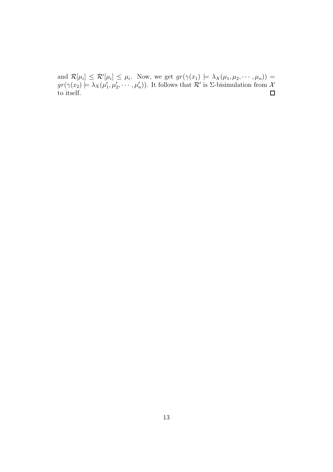and  $\mathcal{R}[\mu_i] \leq \mathcal{R}'[\mu_i] \leq \mu_i$ . Now, we get  $gr(\gamma(x_1) \models \lambda_X(\mu_1, \mu_2, \cdots, \mu_n)) =$  $gr(\gamma(x_2) \models \lambda_X(\mu_1')$  $(1', \mu'_2, \dots, \mu'_n)$ . It follows that  $\mathcal{R}'$  is  $\Sigma$ -bisimulation from  $\mathcal{X}$ to itself.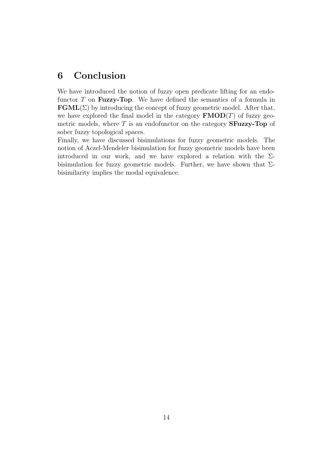# <span id="page-13-0"></span>6 Conclusion

We have introduced the notion of fuzzy open predicate lifting for an endofunctor  $T$  on **Fuzzy-Top**. We have defined the semantics of a formula in  $\mathbf{FGML}(\Sigma)$  by introducing the concept of fuzzy geometric model. After that, we have explored the final model in the category  $\mathbf{FMOD}(T)$  of fuzzy geometric models, where  $T$  is an endofunctor on the category **SFuzzy-Top** of sober fuzzy topological spaces.

Finally, we have discussed bisimulations for fuzzy geometric models. The notion of Aczel-Mendeler bisimulation for fuzzy geometric models have been introduced in our work, and we have explored a relation with the  $\Sigma$ bisimulation for fuzzy geometric models. Further, we have shown that  $\Sigma$ bisimilarity implies the modal equivalence.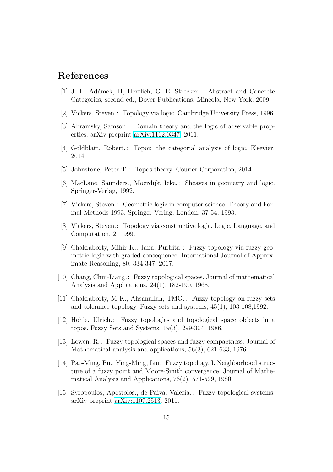# <span id="page-14-14"></span>References

- <span id="page-14-1"></span>[1] J. H. Ad´amek, H, Herrlich, G. E. Strecker.: Abstract and Concrete Categories, second ed., Dover Publications, Mineola, New York, 2009.
- <span id="page-14-2"></span>[2] Vickers, Steven.: Topology via logic. Cambridge University Press, 1996.
- <span id="page-14-3"></span>[3] Abramsky, Samson.: Domain theory and the logic of observable properties. arXiv preprint [arXiv:1112.0347,](http://arxiv.org/abs/1112.0347) 2011.
- <span id="page-14-4"></span>[4] Goldblatt, Robert.: Topoi: the categorial analysis of logic. Elsevier, 2014.
- <span id="page-14-5"></span>[5] Johnstone, Peter T.: Topos theory. Courier Corporation, 2014.
- <span id="page-14-6"></span>[6] MacLane, Saunders., Moerdijk, Ieke.: Sheaves in geometry and logic. Springer-Verlag, 1992.
- <span id="page-14-7"></span>[7] Vickers, Steven.: Geometric logic in computer science. Theory and Formal Methods 1993, Springer-Verlag, London, 37-54, 1993.
- <span id="page-14-0"></span>[8] Vickers, Steven.: Topology via constructive logic. Logic, Language, and Computation, 2, 1999.
- [9] Chakraborty, Mihir K., Jana, Purbita.: Fuzzy topology via fuzzy geometric logic with graded consequence. International Journal of Approximate Reasoning, 80, 334-347, 2017.
- <span id="page-14-8"></span>[10] Chang, Chin-Liang.: Fuzzy topological spaces. Journal of mathematical Analysis and Applications, 24(1), 182-190, 1968.
- <span id="page-14-9"></span>[11] Chakraborty, M K., Ahsanullah, TMG.: Fuzzy topology on fuzzy sets and tolerance topology. Fuzzy sets and systems, 45(1), 103-108,1992.
- <span id="page-14-10"></span>[12] Hohle, Ulrich.: Fuzzy topologies and topological space objects in a topos. Fuzzy Sets and Systems, 19(3), 299-304, 1986.
- <span id="page-14-11"></span>[13] Lowen, R.: Fuzzy topological spaces and fuzzy compactness. Journal of Mathematical analysis and applications, 56(3), 621-633, 1976.
- <span id="page-14-12"></span>[14] Pao-Ming, Pu., Ying-Ming, Liu: Fuzzy topology. I. Neighborhood structure of a fuzzy point and Moore-Smith convergence. Journal of Mathematical Analysis and Applications, 76(2), 571-599, 1980.
- <span id="page-14-13"></span>[15] Syropoulos, Apostolos., de Paiva, Valeria.: Fuzzy topological systems. arXiv preprint [arXiv:1107.2513,](http://arxiv.org/abs/1107.2513) 2011.